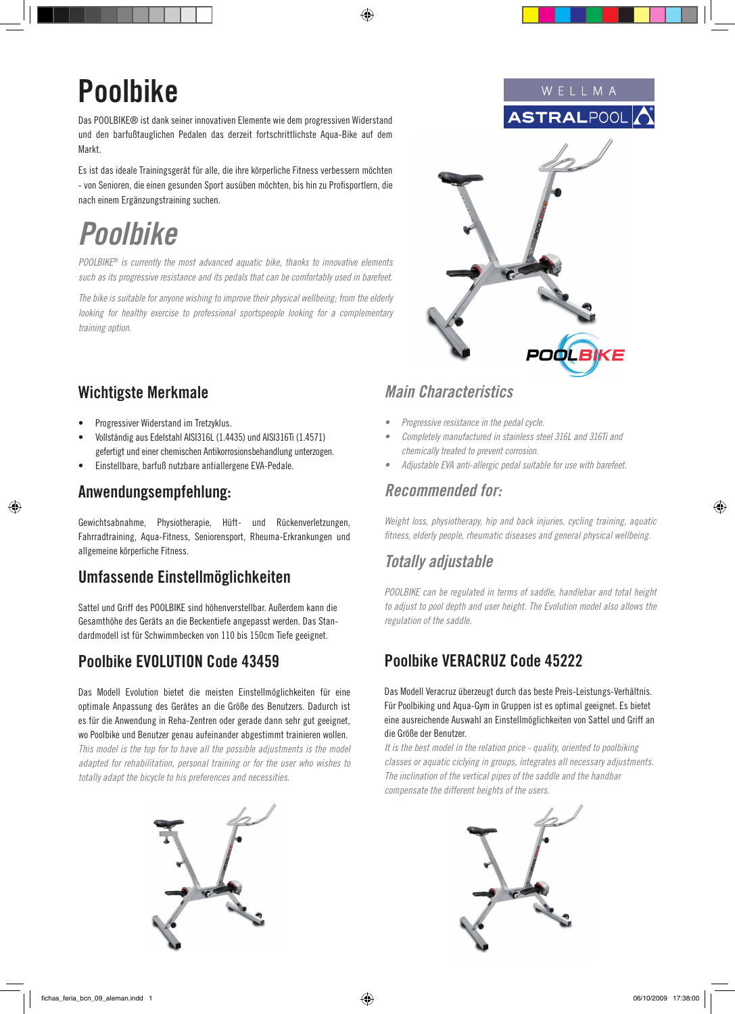⊕

# **Poolbike**

Das POOLBIKE® ist dank seiner innovativen Elemente wie dem progressiven Widerstand und den barfußtauglichen Pedalen das derzeit fortschrittlichste Aqua-Bike auf dem Markt.

Es ist das ideale Trainingsgerät für alle, die ihre körperliche Fitness verbessern möchten - von Senioren, die einen gesunden Sport ausüben möchten, bis hin zu Profisportlern, die nach einem Ergänzungstraining suchen.

# *Poolbike*

POOLBIKE*® is currently the most advanced aquatic bike, thanks to innovative elements such as its progressive resistance and its pedals that can be comfortably used in barefeet.*

*The bike is suitable for anyone wishing to improve their physical wellbeing; from the elderly looking for healthy exercise to professional sportspeople looking for a complementary training option.*

## **Wichtigste Merkmale**

- Progressiver Widerstand im Tretzyklus.
- Vollständig aus Edelstahl AISI316L (1.4435) und AISI316Ti (1.4571) gefertigt und einer chemischen Antikorrosionsbehandlung unterzogen.
- Einstellbare, barfuß nutzbare antiallergene EVA-Pedale.

#### **Anwendungsempfehlung:**

↔

Gewichtsabnahme, Physiotherapie, Hüft- und Rückenverletzungen, Fahrradtraining, Aqua-Fitness, Seniorensport, Rheuma-Erkrankungen und allgemeine körperliche Fitness.

## **Umfassende Einstellmöglichkeiten**

Sattel und Griff des POOLBIKE sind höhenverstellbar. Außerdem kann die Gesamthöhe des Geräts an die Beckentiefe angepasst werden. Das Standardmodell ist für Schwimmbecken von 110 bis 150cm Tiefe geeignet.

## **Poolbike EVOLUTION Code 43459**

Das Modell Evolution bietet die meisten Einstellmöglichkeiten für eine optimale Anpassung des Gerätes an die Größe des Benutzers. Dadurch ist es für die Anwendung in Reha-Zentren oder gerade dann sehr gut geeignet, wo Poolbike und Benutzer genau aufeinander abgestimmt trainieren wollen. *This model is the top for to have all the possible adjustments is the model adapted for rehabilitation, personal training or for the user who wishes to totally adapt the bicycle to his preferences and necessities.*



## *Main Characteristics*

- Progressive resistance in the pedal cycle.
- Completely manufactured in stainless steel 316L and 316Ti and *chemically treated to prevent corrosion.*
- Adjustable EVA anti-allergic pedal suitable for use with barefeet.

#### *Recommended for:*

*Weight loss, physiotherapy, hip and back injuries, cycling training, aquatic fitness, elderly people, rheumatic diseases and general physical wellbeing.*

## *Totally adjustable*

POOLBIKE can be regulated in terms of saddle, handlebar and total height to adjust to pool depth and user height. The Evolution model also allows the *regulation of the saddle.*

## **Poolbike VERACRUZ Code 45222**

Das Modell Veracruz überzeugt durch das beste Preis-Leistungs-Verhältnis. Für Poolbiking und Aqua-Gym in Gruppen ist es optimal geeignet. Es bietet eine ausreichende Auswahl an Einstellmöglichkeiten von Sattel und Griff an die Größe der Benutzer.

It is the best model in the relation price - quality, oriented to poolbiking *classes or aquatic ciclying in groups, integrates all necessary adjustments. The inclination of the vertical pipes of the saddle and the handbar compensate the different heights of the users.*



⊕

W E L L M A **ASTRAL**POOL